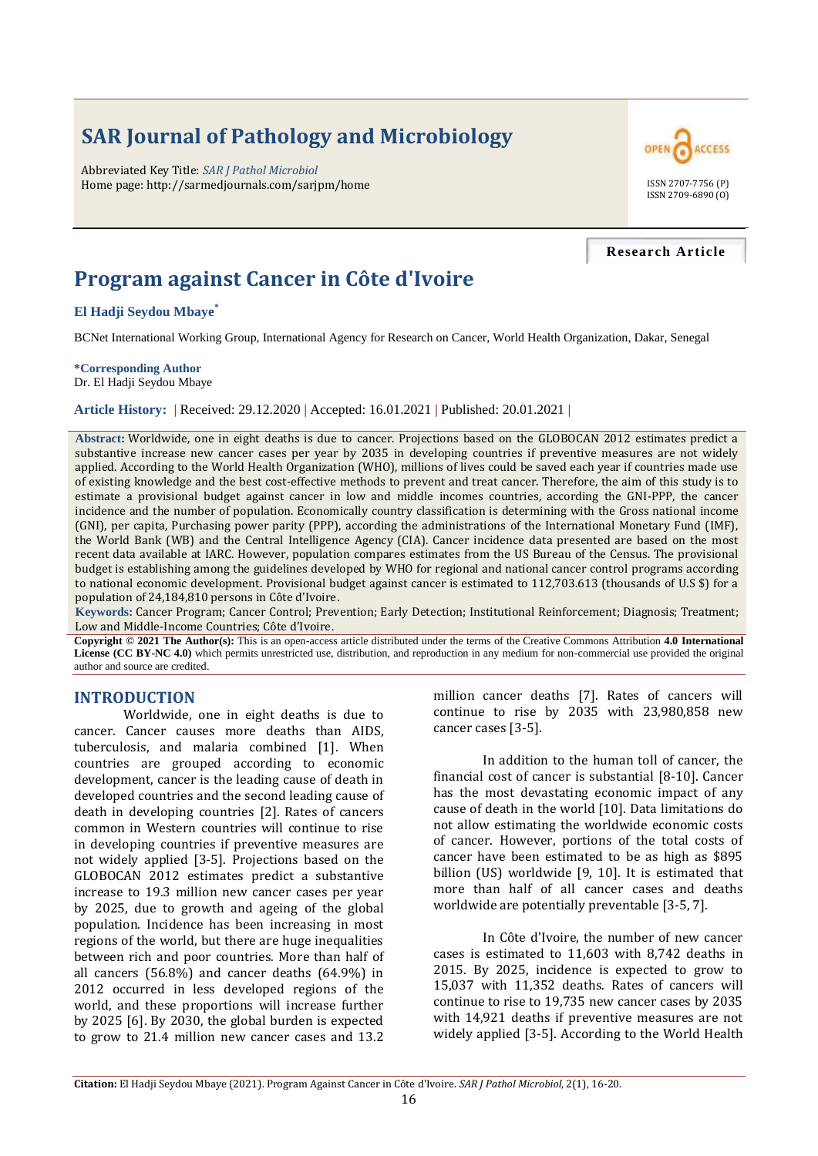# **SAR Journal of Pathology and Microbiology**

Abbreviated Key Title: *SAR J Pathol Microbiol* Home page: http://sarmedjournals.com/sarjpm/home ISSN 2707-7756 (P)



#### **Research Article**

# **Program against Cancer in Côte d'Ivoire**

**El Hadji Seydou Mbaye\***

BCNet International Working Group, International Agency for Research on Cancer, World Health Organization, Dakar, Senegal

**\*Corresponding Author** Dr. El Hadji Seydou Mbaye

**Article History: |** Received: 29.12.2020 **|** Accepted: 16.01.2021 **|** Published: 20.01.2021 **|**

**Abstract:** Worldwide, one in eight deaths is due to cancer. Projections based on the GLOBOCAN 2012 estimates predict a substantive increase new cancer cases per year by 2035 in developing countries if preventive measures are not widely applied. According to the World Health Organization (WHO), millions of lives could be saved each year if countries made use of existing knowledge and the best cost-effective methods to prevent and treat cancer. Therefore, the aim of this study is to estimate a provisional budget against cancer in low and middle incomes countries, according the GNI-PPP, the cancer incidence and the number of population. Economically country classification is determining with the Gross national income (GNI), per capita, Purchasing power parity (PPP), according the administrations of the International Monetary Fund (IMF), the World Bank (WB) and the Central Intelligence Agency (CIA). Cancer incidence data presented are based on the most recent data available at IARC. However, population compares estimates from the US Bureau of the Census. The provisional budget is establishing among the guidelines developed by WHO for regional and national cancer control programs according to national economic development. Provisional budget against cancer is estimated to 112,703.613 (thousands of U.S \$) for a population of 24,184,810 persons in Côte d'Ivoire.

**Keywords:** Cancer Program; Cancer Control; Prevention; Early Detection; Institutional Reinforcement; Diagnosis; Treatment; Low and Middle-Income Countries; Côte d'Ivoire.

**Copyright © 2021 The Author(s):** This is an open-access article distributed under the terms of the Creative Commons Attribution **4.0 International License (CC BY-NC 4.0)** which permits unrestricted use, distribution, and reproduction in any medium for non-commercial use provided the original author and source are credited.

## **INTRODUCTION**

Worldwide, one in eight deaths is due to cancer. Cancer causes more deaths than AIDS, tuberculosis, and malaria combined [1]. When countries are grouped according to economic development, cancer is the leading cause of death in developed countries and the second leading cause of death in developing countries [2]. Rates of cancers common in Western countries will continue to rise in developing countries if preventive measures are not widely applied [3-5]. Projections based on the GLOBOCAN 2012 estimates predict a substantive increase to 19.3 million new cancer cases per year by 2025, due to growth and ageing of the global population. Incidence has been increasing in most regions of the world, but there are huge inequalities between rich and poor countries. More than half of all cancers (56.8%) and cancer deaths (64.9%) in 2012 occurred in less developed regions of the world, and these proportions will increase further by 2025 [6]. By 2030, the global burden is expected to grow to 21.4 million new cancer cases and 13.2

million cancer deaths [7]. Rates of cancers will continue to rise by 2035 with 23,980,858 new cancer cases [3-5].

In addition to the human toll of cancer, the financial cost of cancer is substantial [8-10]. Cancer has the most devastating economic impact of any cause of death in the world [10]. Data limitations do not allow estimating the worldwide economic costs of cancer. However, portions of the total costs of cancer have been estimated to be as high as \$895 billion (US) worldwide [9, 10]. It is estimated that more than half of all cancer cases and deaths worldwide are potentially preventable [3-5, 7].

In Côte d'Ivoire, the number of new cancer cases is estimated to 11,603 with 8,742 deaths in 2015. By 2025, incidence is expected to grow to 15,037 with 11,352 deaths. Rates of cancers will continue to rise to 19,735 new cancer cases by 2035 with 14,921 deaths if preventive measures are not widely applied [3-5]. According to the World Health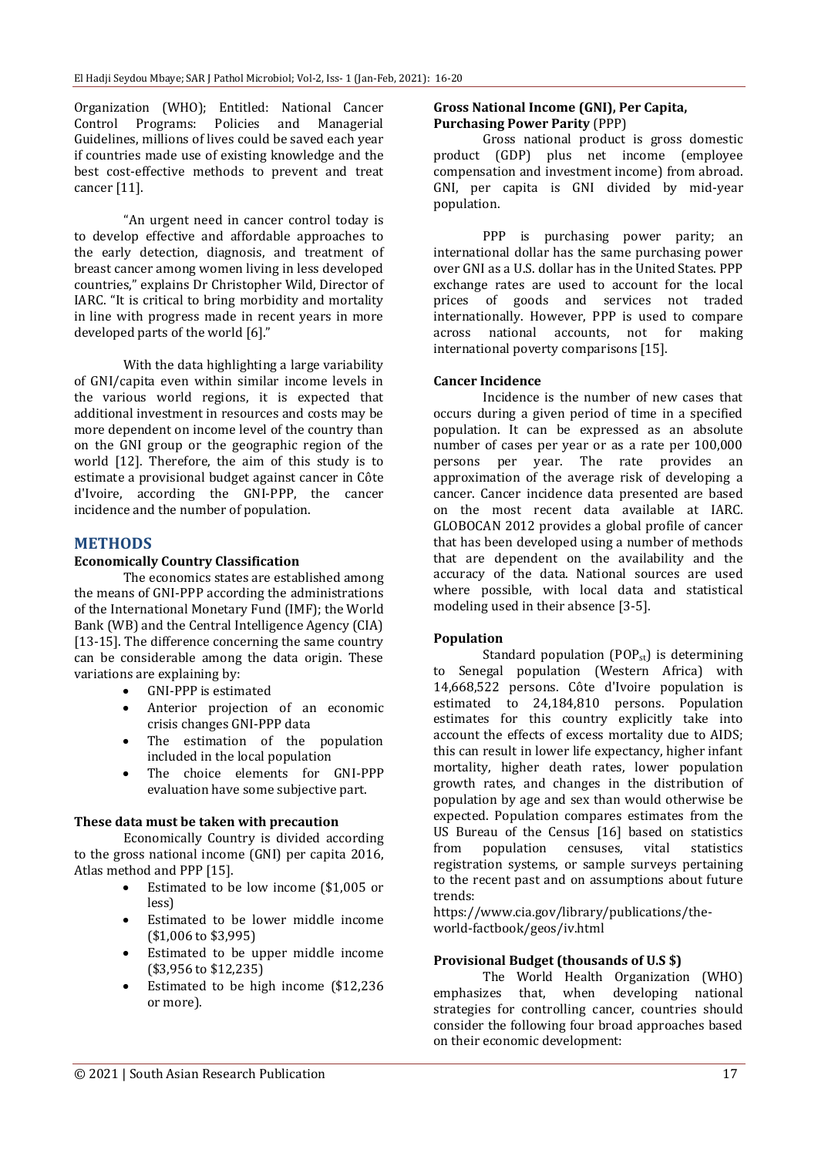Organization (WHO); Entitled: National Cancer Control Programs: Policies and Managerial Guidelines, millions of lives could be saved each year if countries made use of existing knowledge and the best cost-effective methods to prevent and treat cancer [11].

"An urgent need in cancer control today is to develop effective and affordable approaches to the early detection, diagnosis, and treatment of breast cancer among women living in less developed countries," explains Dr Christopher Wild, Director of IARC. "It is critical to bring morbidity and mortality in line with progress made in recent years in more developed parts of the world [6]."

With the data highlighting a large variability of GNI/capita even within similar income levels in the various world regions, it is expected that additional investment in resources and costs may be more dependent on income level of the country than on the GNI group or the geographic region of the world [12]. Therefore, the aim of this study is to estimate a provisional budget against cancer in Côte d'Ivoire, according the GNI-PPP, the cancer incidence and the number of population.

## **METHODS**

## **Economically Country Classification**

The economics states are established among the means of GNI-PPP according the administrations of the International Monetary Fund (IMF); the World Bank (WB) and the Central Intelligence Agency (CIA) [13-15]. The difference concerning the same country can be considerable among the data origin. These variations are explaining by:

- GNI-PPP is estimated
- Anterior projection of an economic crisis changes GNI-PPP data
- The estimation of the population included in the local population
- The choice elements for GNI-PPP evaluation have some subjective part.

#### **These data must be taken with precaution**

Economically Country is divided according to the gross national income (GNI) per capita 2016, Atlas method and PPP [15].

- Estimated to be low income (\$1,005 or less)
- Estimated to be lower middle income (\$1,006 to \$3,995)
- Estimated to be upper middle income (\$3,956 to \$12,235)
- Estimated to be high income (\$12,236 or more).

#### **Gross National Income (GNI), Per Capita, Purchasing Power Parity** (PPP)

Gross national product is gross domestic product (GDP) plus net income (employee compensation and investment income) from abroad. GNI, per capita is GNI divided by mid-year population.

PPP is purchasing power parity; an international dollar has the same purchasing power over GNI as a U.S. dollar has in the United States. PPP exchange rates are used to account for the local prices of goods and services not traded internationally. However, PPP is used to compare across national accounts, not for making international poverty comparisons [15].

## **Cancer Incidence**

Incidence is the number of new cases that occurs during a given period of time in a specified population. It can be expressed as an absolute number of cases per year or as a rate per 100,000 persons per year. The rate provides an approximation of the average risk of developing a cancer. Cancer incidence data presented are based on the most recent data available at IARC. GLOBOCAN 2012 provides a global profile of cancer that has been developed using a number of methods that are dependent on the availability and the accuracy of the data. National sources are used where possible, with local data and statistical modeling used in their absence [3-5].

## **Population**

Standard population  $(POP_{st})$  is determining to Senegal population (Western Africa) with 14,668,522 persons. Côte d'Ivoire population is estimated to 24,184,810 persons. Population estimates for this country explicitly take into account the effects of excess mortality due to AIDS; this can result in lower life expectancy, higher infant mortality, higher death rates, lower population growth rates, and changes in the distribution of population by age and sex than would otherwise be expected. Population compares estimates from the US Bureau of the Census [16] based on statistics from population censuses, vital statistics registration systems, or sample surveys pertaining to the recent past and on assumptions about future trends:

https://www.cia.gov/library/publications/theworld-factbook/geos/iv.html

## **Provisional Budget (thousands of U.S \$)**

The World Health Organization (WHO) emphasizes that, when developing national strategies for controlling cancer, countries should consider the following four broad approaches based on their economic development: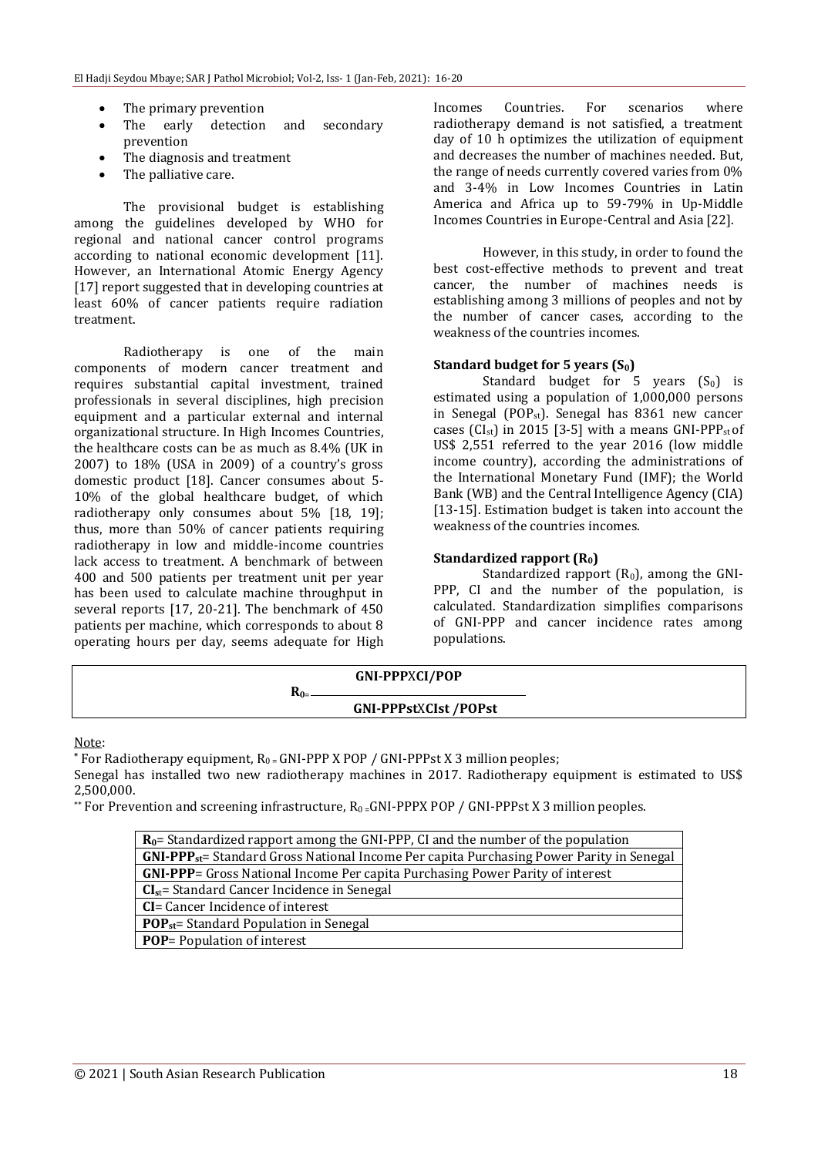- The primary prevention
- The early detection and secondary prevention
- The diagnosis and treatment
- The palliative care.

The provisional budget is establishing among the guidelines developed by WHO for regional and national cancer control programs according to national economic development [11]. However, an International Atomic Energy Agency [17] report suggested that in developing countries at least 60% of cancer patients require radiation treatment.

Radiotherapy is one of the main components of modern cancer treatment and requires substantial capital investment, trained professionals in several disciplines, high precision equipment and a particular external and internal organizational structure. In High Incomes Countries, the healthcare costs can be as much as 8.4% (UK in 2007) to 18% (USA in 2009) of a country's gross domestic product [18]. Cancer consumes about 5- 10% of the global healthcare budget, of which radiotherapy only consumes about 5% [18, 19]; thus, more than 50% of cancer patients requiring radiotherapy in low and middle-income countries lack access to treatment. A benchmark of between 400 and 500 patients per treatment unit per year has been used to calculate machine throughput in several reports [17, 20-21]. The benchmark of 450 patients per machine, which corresponds to about 8 operating hours per day, seems adequate for High

Incomes Countries. For scenarios where radiotherapy demand is not satisfied, a treatment day of 10 h optimizes the utilization of equipment and decreases the number of machines needed. But, the range of needs currently covered varies from 0% and 3-4% in Low Incomes Countries in Latin America and Africa up to 59-79% in Up-Middle Incomes Countries in Europe-Central and Asia [22].

However, in this study, in order to found the best cost-effective methods to prevent and treat cancer, the number of machines needs is establishing among 3 millions of peoples and not by the number of cancer cases, according to the weakness of the countries incomes.

#### **Standard budget for 5 years (S0)**

Standard budget for 5 years  $(S_0)$  is estimated using a population of 1,000,000 persons in Senegal (POP<sub>st</sub>). Senegal has 8361 new cancer cases (CI<sub>st</sub>) in 2015 [3-5] with a means GNI-PPP<sub>st</sub> of US\$ 2,551 referred to the year 2016 (low middle income country), according the administrations of the International Monetary Fund (IMF); the World Bank (WB) and the Central Intelligence Agency (CIA) [13-15]. Estimation budget is taken into account the weakness of the countries incomes.

#### **Standardized rapport (R0)**

Standardized rapport  $(R_0)$ , among the GNI-PPP, CI and the number of the population, is calculated. Standardization simplifies comparisons of GNI-PPP and cancer incidence rates among populations.

| <b>GNI-PPPXCI/POP</b>       |  |
|-----------------------------|--|
| $\mathbf{n}_{0}$            |  |
| <b>GNI-PPPstXCIst/POPst</b> |  |

Note:

\* For Radiotherapy equipment,  $R_0 = GNI-PPPX POP / GNI-PPPstX3$  million peoples;

Senegal has installed two new radiotherapy machines in 2017. Radiotherapy equipment is estimated to US\$ 2,500,000.

\*\* For Prevention and screening infrastructure,  $R_0 = GNI-PPPX POP$  / GNI-PPPst X 3 million peoples.

| $R_0$ = Standardized rapport among the GNI-PPP, CI and the number of the population          |  |  |  |  |
|----------------------------------------------------------------------------------------------|--|--|--|--|
| $GNI-PPP_{st}=$ Standard Gross National Income Per capita Purchasing Power Parity in Senegal |  |  |  |  |
| <b>GNI-PPP</b> = Gross National Income Per capita Purchasing Power Parity of interest        |  |  |  |  |
| $CIst$ = Standard Cancer Incidence in Senegal                                                |  |  |  |  |
| <b>CI</b> = Cancer Incidence of interest                                                     |  |  |  |  |
| <b>POP</b> <sub>st</sub> = Standard Population in Senegal                                    |  |  |  |  |
| <b>POP</b> = Population of interest                                                          |  |  |  |  |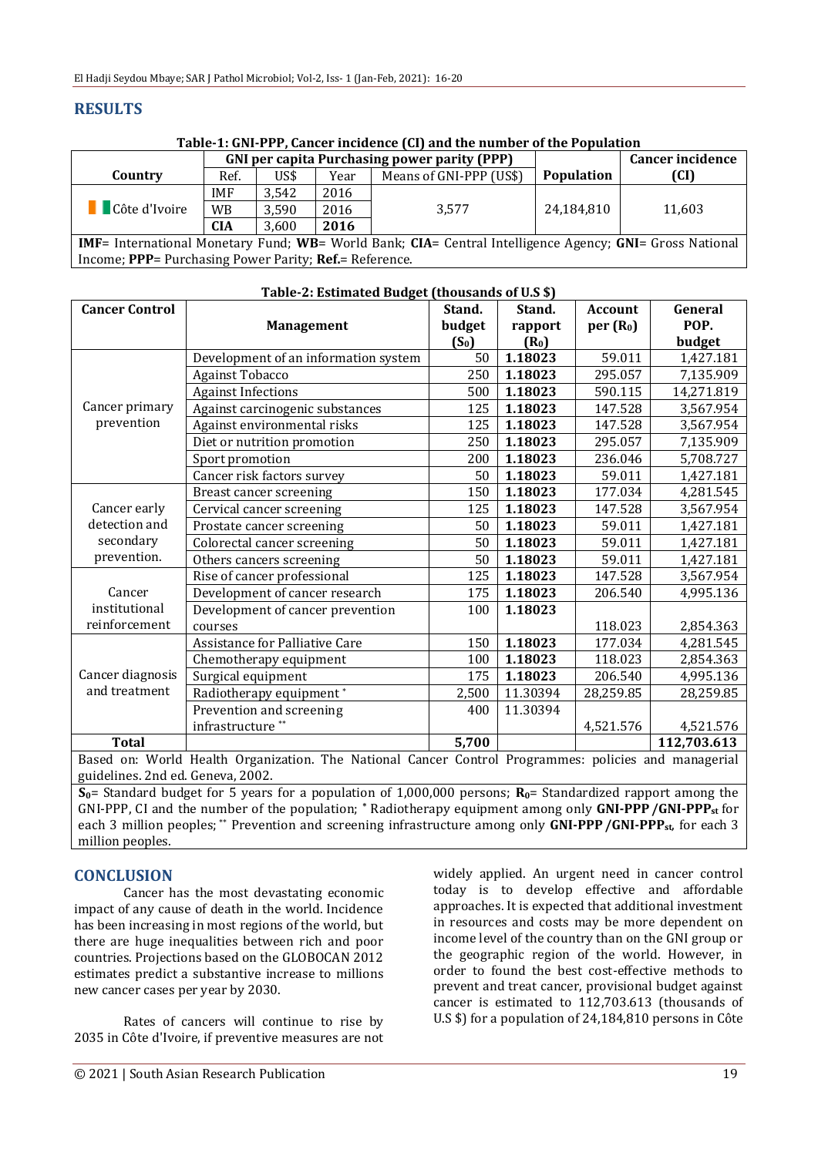# **RESULTS**

**Table-1: GNI-PPP, Cancer incidence (CI) and the number of the Population**

|                                                                                                                 | <b>GNI</b> per capita Purchasing power parity (PPP) |       |      |                         |                   | <b>Cancer incidence</b> |  |  |
|-----------------------------------------------------------------------------------------------------------------|-----------------------------------------------------|-------|------|-------------------------|-------------------|-------------------------|--|--|
| Country                                                                                                         | Ref.                                                | US\$  | Year | Means of GNI-PPP (US\$) | <b>Population</b> | (CI)                    |  |  |
|                                                                                                                 | <b>IMF</b>                                          | 3.542 | 2016 |                         |                   |                         |  |  |
| <b>C</b> ôte d'Ivoire                                                                                           | WB                                                  | 3,590 | 2016 | 3.577                   | 24,184,810        | 11,603                  |  |  |
|                                                                                                                 | <b>CIA</b>                                          | 3.600 | 2016 |                         |                   |                         |  |  |
| <b>IMF</b> = International Monetary Fund; WB= World Bank; CIA= Central Intelligence Agency; GNI= Gross National |                                                     |       |      |                         |                   |                         |  |  |
| Income; PPP= Purchasing Power Parity; Ref.= Reference.                                                          |                                                     |       |      |                         |                   |                         |  |  |

| Table-2. Estimated Duuget (thousands of 0.5 \$)                                                      |                                      |         |          |                      |             |  |  |  |  |
|------------------------------------------------------------------------------------------------------|--------------------------------------|---------|----------|----------------------|-------------|--|--|--|--|
| <b>Cancer Control</b>                                                                                |                                      | Stand.  | Stand.   | <b>Account</b>       | General     |  |  |  |  |
|                                                                                                      | <b>Management</b>                    | budget  | rapport  | per(R <sub>0</sub> ) | POP.        |  |  |  |  |
|                                                                                                      |                                      | $(S_0)$ | $(R_0)$  |                      | budget      |  |  |  |  |
|                                                                                                      | Development of an information system | 50      | 1.18023  | 59.011               | 1,427.181   |  |  |  |  |
|                                                                                                      | <b>Against Tobacco</b>               | 250     | 1.18023  | 295.057              | 7,135.909   |  |  |  |  |
|                                                                                                      | <b>Against Infections</b>            | 500     | 1.18023  | 590.115              | 14,271.819  |  |  |  |  |
| Cancer primary<br>prevention                                                                         | Against carcinogenic substances      | 125     | 1.18023  | 147.528              | 3,567.954   |  |  |  |  |
|                                                                                                      | Against environmental risks          | 125     | 1.18023  | 147.528              | 3,567.954   |  |  |  |  |
|                                                                                                      | Diet or nutrition promotion          | 250     | 1.18023  | 295.057              | 7,135.909   |  |  |  |  |
|                                                                                                      | Sport promotion                      | 200     | 1.18023  | 236.046              | 5,708.727   |  |  |  |  |
|                                                                                                      | Cancer risk factors survey           | 50      | 1.18023  | 59.011               | 1,427.181   |  |  |  |  |
| Cancer early<br>detection and<br>secondary<br>prevention.                                            | Breast cancer screening              | 150     | 1.18023  | 177.034              | 4,281.545   |  |  |  |  |
|                                                                                                      | Cervical cancer screening            | 125     | 1.18023  | 147.528              | 3,567.954   |  |  |  |  |
|                                                                                                      | Prostate cancer screening            | 50      | 1.18023  | 59.011               | 1,427.181   |  |  |  |  |
|                                                                                                      | Colorectal cancer screening          | 50      | 1.18023  | 59.011               | 1,427.181   |  |  |  |  |
|                                                                                                      | Others cancers screening             | 50      | 1.18023  | 59.011               | 1,427.181   |  |  |  |  |
| Cancer<br>institutional<br>reinforcement                                                             | Rise of cancer professional          | 125     | 1.18023  | 147.528              | 3,567.954   |  |  |  |  |
|                                                                                                      | Development of cancer research       | 175     | 1.18023  | 206.540              | 4,995.136   |  |  |  |  |
|                                                                                                      | Development of cancer prevention     | 100     | 1.18023  |                      |             |  |  |  |  |
|                                                                                                      | courses                              |         |          | 118.023              | 2,854.363   |  |  |  |  |
| Cancer diagnosis<br>and treatment                                                                    | Assistance for Palliative Care       | 150     | 1.18023  | 177.034              | 4,281.545   |  |  |  |  |
|                                                                                                      | Chemotherapy equipment               | 100     | 1.18023  | 118.023              | 2,854.363   |  |  |  |  |
|                                                                                                      | Surgical equipment                   | 175     | 1.18023  | 206.540              | 4,995.136   |  |  |  |  |
|                                                                                                      | Radiotherapy equipment*              | 2,500   | 11.30394 | 28,259.85            | 28,259.85   |  |  |  |  |
|                                                                                                      | Prevention and screening             | 400     | 11.30394 |                      |             |  |  |  |  |
|                                                                                                      | infrastructure <sup>**</sup>         |         |          | 4,521.576            | 4,521.576   |  |  |  |  |
| <b>Total</b>                                                                                         |                                      | 5,700   |          |                      | 112,703.613 |  |  |  |  |
| Based on: World Health Organization. The National Cancer Control Programmes: policies and managerial |                                      |         |          |                      |             |  |  |  |  |

#### **Table-2: Estimated Budget (thousands of U.S \$)**

Based on: World Health Organization. The National Cancer Control Programmes: policies and managerial guidelines. 2nd ed. Geneva, 2002.

 $\overline{S_0}$ = Standard budget for 5 years for a population of 1,000,000 persons;  $R_0$ = Standardized rapport among the GNI-PPP, CI and the number of the population; **\*** Radiotherapy equipment among only **GNI-PPP/GNI-PPPst** for each 3 million peoples; \*\* Prevention and screening infrastructure among only **GNI-PPP/GNI-PPPst**, for each 3 million peoples.

## **CONCLUSION**

Cancer has the most devastating economic impact of any cause of death in the world. Incidence has been increasing in most regions of the world, but there are huge inequalities between rich and poor countries. Projections based on the GLOBOCAN 2012 estimates predict a substantive increase to millions new cancer cases per year by 2030.

Rates of cancers will continue to rise by 2035 in Côte d'Ivoire, if preventive measures are not widely applied. An urgent need in cancer control today is to develop effective and affordable approaches. It is expected that additional investment in resources and costs may be more dependent on income level of the country than on the GNI group or the geographic region of the world. However, in order to found the best cost-effective methods to prevent and treat cancer, provisional budget against cancer is estimated to 112,703.613 (thousands of U.S \$) for a population of 24,184,810 persons in Côte